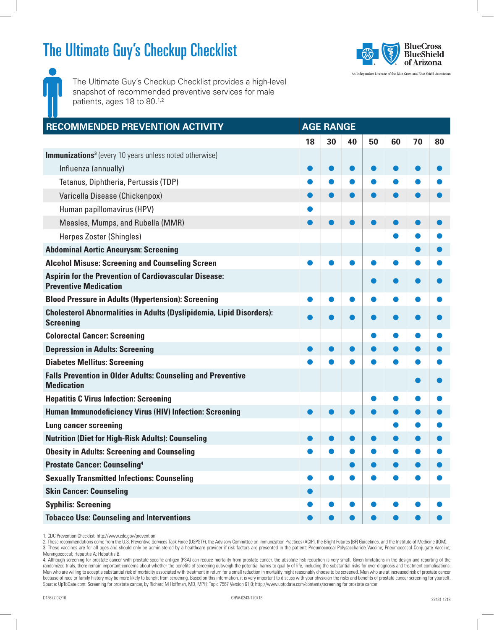## The Ultimate Guy's Checkup Checklist



The Ultimate Guy's Checkup Checklist provides a high-level snapshot of recommended preventive services for male patients, ages 18 to 80.<sup>1,2</sup>

| RECOMMENDED PREVENTION ACTIVITY                                                                 | <b>AGE RANGE</b> |    |    |    |    |    |    |  |  |
|-------------------------------------------------------------------------------------------------|------------------|----|----|----|----|----|----|--|--|
|                                                                                                 | 18               | 30 | 40 | 50 | 60 | 70 | 80 |  |  |
| <b>Immunizations<sup>3</sup></b> (every 10 years unless noted otherwise)                        |                  |    |    |    |    |    |    |  |  |
| Influenza (annually)                                                                            |                  |    |    |    |    |    |    |  |  |
| Tetanus, Diphtheria, Pertussis (TDP)                                                            |                  |    |    |    |    |    |    |  |  |
| Varicella Disease (Chickenpox)                                                                  |                  |    |    |    |    |    |    |  |  |
| Human papillomavirus (HPV)                                                                      |                  |    |    |    |    |    |    |  |  |
| Measles, Mumps, and Rubella (MMR)                                                               |                  |    |    |    |    |    |    |  |  |
| Herpes Zoster (Shingles)                                                                        |                  |    |    |    |    |    |    |  |  |
| <b>Abdominal Aortic Aneurysm: Screening</b>                                                     |                  |    |    |    |    |    |    |  |  |
| <b>Alcohol Misuse: Screening and Counseling Screen</b>                                          |                  |    |    |    |    |    |    |  |  |
| <b>Aspirin for the Prevention of Cardiovascular Disease:</b><br><b>Preventive Medication</b>    |                  |    |    |    |    |    |    |  |  |
| <b>Blood Pressure in Adults (Hypertension): Screening</b>                                       |                  |    |    |    |    |    |    |  |  |
| <b>Cholesterol Abnormalities in Adults (Dyslipidemia, Lipid Disorders):</b><br><b>Screening</b> |                  |    |    |    |    |    |    |  |  |
| <b>Colorectal Cancer: Screening</b>                                                             |                  |    |    |    |    |    |    |  |  |
| <b>Depression in Adults: Screening</b>                                                          |                  |    |    |    |    |    |    |  |  |
| <b>Diabetes Mellitus: Screening</b>                                                             |                  |    |    |    |    |    |    |  |  |
| <b>Falls Prevention in Older Adults: Counseling and Preventive</b><br><b>Medication</b>         |                  |    |    |    |    |    |    |  |  |
| <b>Hepatitis C Virus Infection: Screening</b>                                                   |                  |    |    |    |    |    |    |  |  |
| <b>Human Immunodeficiency Virus (HIV) Infection: Screening</b>                                  |                  |    |    |    |    |    |    |  |  |
| <b>Lung cancer screening</b>                                                                    |                  |    |    |    |    |    |    |  |  |
| <b>Nutrition (Diet for High-Risk Adults): Counseling</b>                                        |                  |    |    |    |    |    |    |  |  |
| <b>Obesity in Adults: Screening and Counseling</b>                                              |                  |    |    |    |    |    |    |  |  |
| <b>Prostate Cancer: Counseling4</b>                                                             |                  |    |    |    |    |    |    |  |  |
| <b>Sexually Transmitted Infections: Counseling</b>                                              |                  |    |    |    |    |    |    |  |  |
| <b>Skin Cancer: Counseling</b>                                                                  |                  |    |    |    |    |    |    |  |  |
| <b>Syphilis: Screening</b>                                                                      |                  |    |    |    |    |    |    |  |  |
| <b>Tobacco Use: Counseling and Interventions</b>                                                |                  |    |    |    |    |    |    |  |  |

1. CDC Prevention Checklist: http://www.cdc.gov/prevention

2. These recommendations come from the U.S. Preventive Services Task Force (USPSTF), the Advisory Committee on Immunization Practices (ACIP), the Bright Futures (BF) Guidelines, and the Institute of Medicine (IOM). 3. These vaccines are for all ages and should only be administered by a healthcare provider if risk factors are presented in the patient: Pneumococcal Polysaccharide Vaccine; Pneumococcal Conjugate Vaccine; Meningococcal; Hepatitis A; Hepatitis B.

4. Although screening for prostate cancer with prostate specific antigen (PSA) can reduce mortality from prostate cancer, the absolute risk reduction is very small. Given limitations in the design and reporting of the randomized trials, there remain important concerns about whether the benefits of screening outweigh the potential harms to quality of life, including the substantial risks for over diagnosis and treatment complications. Men who are willing to accept a substantial risk of morbidity associated with treatment in return for a small reduction in mortality might reasonably choose to be screened. Men who are at increased risk of prostate cancer because of race or family history may be more likely to benefit from screening. Based on this information, it is very important to discuss with your physician the risks and benefits of prostate cancer screening for yoursel Source: UpToDate.com: Screening for prostate cancer, by Richard M Hoffman, MD, MPH; Topic 7567 Version 61.0; http://www.uptodate.com/contents/screening for prostate cancer